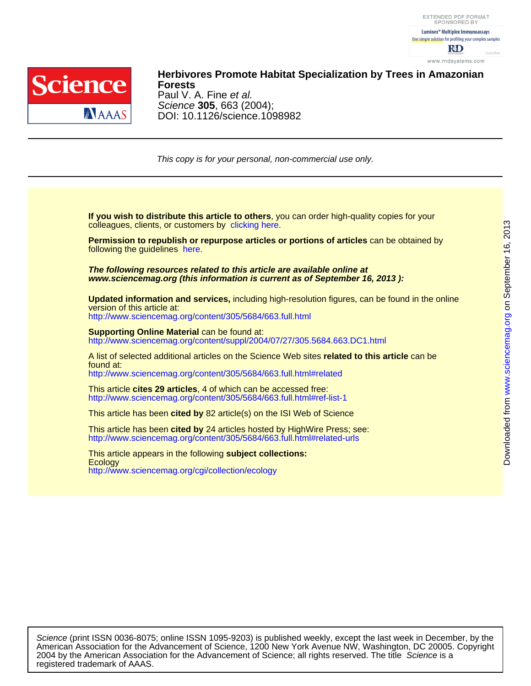

DOI: 10.1126/science.1098982 Science **305**, 663 (2004); Paul V. A. Fine et al. **Forests Herbivores Promote Habitat Specialization by Trees in Amazonian**

This copy is for your personal, non-commercial use only.

colleagues, clients, or customers by [clicking here.](http://www.sciencemag.org/about/permissions.dtl) **If you wish to distribute this article to others**, you can order high-quality copies for your

following the guidelines [here.](http://www.sciencemag.org/about/permissions.dtl) **Permission to republish or repurpose articles or portions of articles** can be obtained by

**www.sciencemag.org (this information is current as of September 16, 2013 ): The following resources related to this article are available online at**

version of this article at: **Updated information and services,** including high-resolution figures, can be found in the online

<http://www.sciencemag.org/content/305/5684/663.full.html>

http://www.sciencemag.org/content/suppl/2004/07/27/305.5684.663.DC1.html **Supporting Online Material can be found at:** 

<http://www.sciencemag.org/content/305/5684/663.full.html#related> found at: A list of selected additional articles on the Science Web sites **related to this article** can be

<http://www.sciencemag.org/content/305/5684/663.full.html#ref-list-1> This article **cites 29 articles**, 4 of which can be accessed free:

This article has been **cited by** 82 article(s) on the ISI Web of Science

<http://www.sciencemag.org/content/305/5684/663.full.html#related-urls> This article has been **cited by** 24 articles hosted by HighWire Press; see:

<http://www.sciencemag.org/cgi/collection/ecology> **Ecology** This article appears in the following **subject collections:** on September 16, 2013

[www.sciencemag.org](http://www.sciencemag.org/)

registered trademark of AAAS. 2004 by the American Association for the Advancement of Science; all rights reserved. The title Science is a American Association for the Advancement of Science, 1200 New York Avenue NW, Washington, DC 20005. Copyright Science (print ISSN 0036-8075; online ISSN 1095-9203) is published weekly, except the last week in December, by the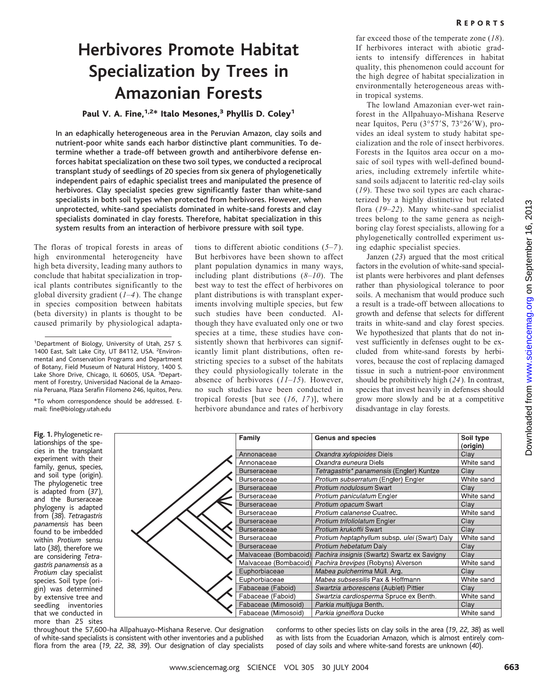# **Herbivores Promote Habitat Specialization by Trees in Amazonian Forests**

## Paul V. A. Fine, $1.2*$  Italo Mesones,<sup>3</sup> Phyllis D. Coley<sup>1</sup>

In an edaphically heterogeneous area in the Peruvian Amazon, clay soils and nutrient-poor white sands each harbor distinctive plant communities. To determine whether a trade-off between growth and antiherbivore defense enforces habitat specialization on these two soil types, we conducted a reciprocal transplant study of seedlings of 20 species from sixgenera of phylogenetically independent pairs of edaphic specialist trees and manipulated the presence of herbivores. Clay specialist species grew significantly faster than white-sand specialists in both soil types when protected from herbivores. However, when unprotected, white-sand specialists dominated in white-sand forests and clay specialists dominated in clay forests. Therefore, habitat specialization in this system results from an interaction of herbivore pressure with soil type.

The floras of tropical forests in areas of high environmental heterogeneity have high beta diversity, leading many authors to conclude that habitat specialization in tropical plants contributes significantly to the global diversity gradient (*1*–*4*). The change in species composition between habitats (beta diversity) in plants is thought to be caused primarily by physiological adapta-

1 Department of Biology, University of Utah, 257 S. 1400 East, Salt Lake City, UT 84112, USA. <sup>2</sup>Environmental and Conservation Programs and Department of Botany, Field Museum of Natural History, 1400 S. Lake Shore Drive, Chicago, IL 60605, USA. <sup>3</sup>Department of Forestry, Universidad Nacional de la Amazonía Peruana, Plaza Serafín Filomeno 246, Iquitos, Peru.

\*To whom correspondence should be addressed. Email: fine@biology.utah.edu

**Fig. 1.** Phylogenetic relationships of the species in the transplant experiment with their family, genus, species, and soil type (origin). The phylogenetic tree is adapted from (*37*), and the Burseraceae phylogeny is adapted from (*38*). *Tetragastris panamensis* has been found to be imbedded within *Protium* sensu lato (*38*), therefore we are considering *Tetragastris panamensis* as a *Protium* clay specialist species. Soil type (origin) was determined by extensive tree and seedling inventories that we conducted in more than 25 sites tions to different abiotic conditions (*5*–*7*). But herbivores have been shown to affect plant population dynamics in many ways, including plant distributions (*8*–*10*). The best way to test the effect of herbivores on plant distributions is with transplant experiments involving multiple species, but few such studies have been conducted. Although they have evaluated only one or two species at a time, these studies have consistently shown that herbivores can significantly limit plant distributions, often restricting species to a subset of the habitats they could physiologically tolerate in the absence of herbivores (*11*–*15*). However, no such studies have been conducted in tropical forests [but see (*16*, *17*)], where herbivore abundance and rates of herbivory far exceed those of the temperate zone (*18*). If herbivores interact with abiotic gradients to intensify differences in habitat quality, this phenomenon could account for the high degree of habitat specialization in environmentally heterogeneous areas within tropical systems.

The lowland Amazonian ever-wet rainforest in the Allpahuayo-Mishana Reserve near Iquitos, Peru (3°57'S, 73°26'W), provides an ideal system to study habitat specialization and the role of insect herbivores. Forests in the Iquitos area occur on a mosaic of soil types with well-defined boundaries, including extremely infertile whitesand soils adjacent to lateritic red-clay soils (*19*). These two soil types are each characterized by a highly distinctive but related flora (*19*–*22*). Many white-sand specialist trees belong to the same genera as neighboring clay forest specialists, allowing for a phylogenetically controlled experiment using edaphic specialist species.

Janzen (*23*) argued that the most critical factors in the evolution of white-sand specialist plants were herbivores and plant defenses rather than physiological tolerance to poor soils. A mechanism that would produce such a result is a trade-off between allocations to growth and defense that selects for different traits in white-sand and clay forest species. We hypothesized that plants that do not invest sufficiently in defenses ought to be excluded from white-sand forests by herbivores, because the cost of replacing damaged tissue in such a nutrient-poor environment should be prohibitively high (*24*). In contrast, species that invest heavily in defenses should grow more slowly and be at a competitive disadvantage in clay forests.

Family **Genus and species** Soil type (origin) Oxandra xylopioides Diels Annonaceae Clay White sand Annonaceae Oxandra euneura Diels Tetragastris\* panamensis (Engler) Kuntze Clay Burseraceae White sand Protium subserratum (Engler) Engler Burseraceae Protium nodulosum Swart Clay Burseraceae Protium paniculatum Engler White sand Burseraceae Burseraceae Protium opacum Swart Clay White sand Burseraceae Protium calanense Cuatrec. Burseraceae Protium trifoliolatum Engler Clay Protium krukoffii Swart **Burseraceae** Clay Protium heptaphyllum subsp. ulei (Swart) Daly Burseraceae White sand Protium hebetatum Daly Burseraceae Clay Pachira insignis (Swartz) Swartz ex Savigny Malvaceae (Bombacoid) Clay White sand Malvaceae (Bombacoid Pachira brevipes (Robyns) Alverson Euphorbiaceae Mabea pulcherrima Müll. Arg. Clay Euphorbiaceae Mabea subsessilis Pax & Hoffmann White sand Fabaceae (Faboid) Swartzia arborescens (Aublet) Pittier Clay White sand Fabaceae (Faboid) Swartzia cardiosperma Spruce ex Benth. Fabaceae (Mimosoid) Parkia multijuga Benth. Clay Fabaceae (Mimosoid) Parkia igneiflora Ducke White sand

throughout the 57,600-ha Allpahuayo-Mishana Reserve. Our designation of white-sand specialists is consistent with other inventories and a published flora from the area (*19*, *22*, *38*, *39*). Our designation of clay specialists conforms to other species lists on clay soils in the area (*19*, *22*, *38*) as well as with lists from the Ecuadorian Amazon, which is almost entirely composed of clay soils and where white-sand forests are unknown (*40*).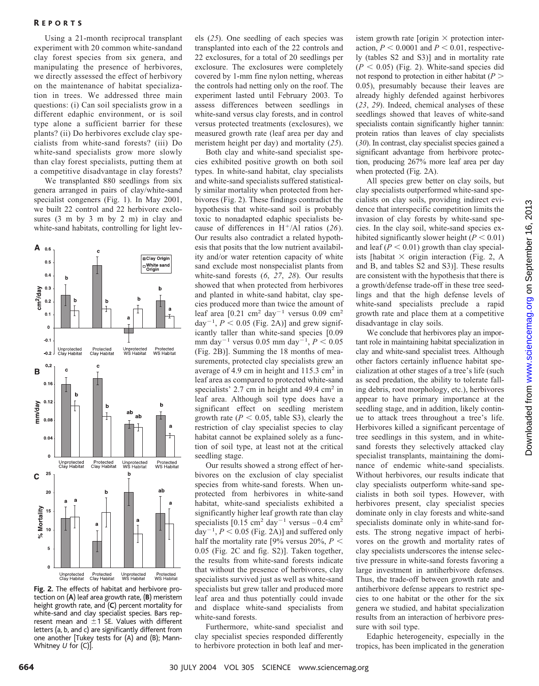### R EPORTS

Using a 21-month reciprocal transplant experiment with 20 common white-sandand clay forest species from six genera, and manipulating the presence of herbivores, we directly assessed the effect of herbivory on the maintenance of habitat specialization in trees. We addressed three main questions: (i) Can soil specialists grow in a different edaphic environment, or is soil type alone a sufficient barrier for these plants? (ii) Do herbivores exclude clay specialists from white-sand forests? (iii) Do white-sand specialists grow more slowly than clay forest specialists, putting them at a competitive disadvantage in clay forests?

We transplanted 880 seedlings from six genera arranged in pairs of clay/white-sand specialist congeners (Fig. 1). In May 2001, we built 22 control and 22 herbivore exclosures (3 m by 3 m by 2 m) in clay and white-sand habitats, controlling for light lev-



**Fig. 2.** The effects of habitat and herbivore protection on (**A**) leaf area growth rate, (**B**) meristem height growth rate, and (**C**) percent mortality for white-sand and clay specialist species. Bars represent mean and  $\pm 1$  SE. Values with different letters (a, b, and c) are significantly different from one another [Tukey tests for (A) and (B); Mann-Whitney *U* for (C)].

els (*25*). One seedling of each species was transplanted into each of the 22 controls and 22 exclosures, for a total of 20 seedlings per exclosure. The exclosures were completely covered by 1-mm fine nylon netting, whereas the controls had netting only on the roof. The experiment lasted until February 2003. To assess differences between seedlings in white-sand versus clay forests, and in control versus protected treatments (exclosures), we measured growth rate (leaf area per day and meristem height per day) and mortality (*25*).

Both clay and white-sand specialist species exhibited positive growth on both soil types. In white-sand habitat, clay specialists and white-sand specialists suffered statistically similar mortality when protected from herbivores (Fig. 2). These findings contradict the hypothesis that white-sand soil is probably toxic to nonadapted edaphic specialists because of differences in H-/Al ratios (*26*). Our results also contradict a related hypothesis that posits that the low nutrient availability and/or water retention capacity of white sand exclude most nonspecialist plants from white-sand forests (*6*, *27*, *28*). Our results showed that when protected from herbivores and planted in white-sand habitat, clay species produced more than twice the amount of leaf area  $[0.21 \text{ cm}^2 \text{ day}^{-1} \text{ versus } 0.09 \text{ cm}^2$ day<sup> $-1$ </sup>,  $P < 0.05$  (Fig. 2A)] and grew significantly taller than white-sand species [0.09 mm day<sup>-1</sup> versus 0.05 mm day<sup>-1</sup>,  $P < 0.05$ (Fig. 2B)]. Summing the 18 months of measurements, protected clay specialists grew an average of 4.9 cm in height and 115.3 cm2 in leaf area as compared to protected white-sand specialists' 2.7 cm in height and 49.4 cm<sup>2</sup> in leaf area. Although soil type does have a significant effect on seedling meristem growth rate ( $P < 0.05$ , table S3), clearly the restriction of clay specialist species to clay habitat cannot be explained solely as a function of soil type, at least not at the critical seedling stage.

Our results showed a strong effect of herbivores on the exclusion of clay specialist species from white-sand forests. When unprotected from herbivores in white-sand habitat, white-sand specialists exhibited a significantly higher leaf growth rate than clay specialists  $[0.15 \text{ cm}^2 \text{ day}^{-1} \text{ versus } -0.4 \text{ cm}^2$ day<sup> $-1$ </sup>,  $P < 0.05$  (Fig. 2A)] and suffered only half the mortality rate [9% versus 20%,  $P \leq$ 0.05 (Fig. 2C and fig. S2)]. Taken together, the results from white-sand forests indicate that without the presence of herbivores, clay specialists survived just as well as white-sand specialists but grew taller and produced more leaf area and thus potentially could invade and displace white-sand specialists from white-sand forests.

Furthermore, white-sand specialist and clay specialist species responded differently to herbivore protection in both leaf and meristem growth rate [origin  $\times$  protection interaction,  $P < 0.0001$  and  $P < 0.01$ , respectively (tables S2 and S3)] and in mortality rate  $(P < 0.05)$  (Fig. 2). White-sand species did not respond to protection in either habitat (*P* 0.05), presumably because their leaves are already highly defended against herbivores (*23*, *29*). Indeed, chemical analyses of these seedlings showed that leaves of white-sand specialists contain significantly higher tannin: protein ratios than leaves of clay specialists (*30*). In contrast, clay specialist species gained a significant advantage from herbivore protection, producing 267% more leaf area per day when protected (Fig. 2A).

All species grew better on clay soils, but clay specialists outperformed white-sand specialists on clay soils, providing indirect evidence that interspecific competition limits the invasion of clay forests by white-sand species. In the clay soil, white-sand species exhibited significantly slower height  $(P < 0.01)$ and leaf  $(P < 0.01)$  growth than clay specialists [habitat  $\times$  origin interaction (Fig. 2, A and B, and tables S2 and S3)]. These results are consistent with the hypothesis that there is a growth/defense trade-off in these tree seedlings and that the high defense levels of white-sand specialists preclude a rapid growth rate and place them at a competitive disadvantage in clay soils.

We conclude that herbivores play an important role in maintaining habitat specialization in clay and white-sand specialist trees. Although other factors certainly influence habitat specialization at other stages of a tree's life (such as seed predation, the ability to tolerate falling debris, root morphology, etc.), herbivores appear to have primary importance at the seedling stage, and in addition, likely continue to attack trees throughout a tree's life. Herbivores killed a significant percentage of tree seedlings in this system, and in whitesand forests they selectively attacked clay specialist transplants, maintaining the dominance of endemic white-sand specialists. Without herbivores, our results indicate that clay specialists outperform white-sand specialists in both soil types. However, with herbivores present, clay specialist species dominate only in clay forests and white-sand specialists dominate only in white-sand forests. The strong negative impact of herbivores on the growth and mortality rates of clay specialists underscores the intense selective pressure in white-sand forests favoring a large investment in antiherbivore defenses. Thus, the trade-off between growth rate and antiherbivore defense appears to restrict species to one habitat or the other for the six genera we studied, and habitat specialization results from an interaction of herbivore pressure with soil type.

Edaphic heterogeneity, especially in the tropics, has been implicated in the generation